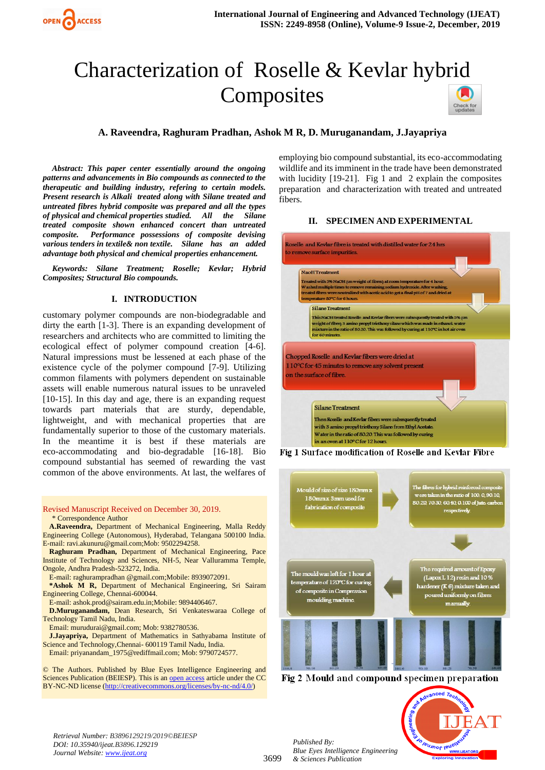# Characterization of Roselle & Kevlar hybrid **Composites**



*Abstract: This paper center essentially around the ongoing patterns and advancements in Bio compounds as connected to the therapeutic and building industry, refering to certain models. Present research is Alkali treated along with Silane treated and untreated fibres hybrid composite was prepared and all the types of physical and chemical properties studied. All the Silane treated composite shown enhanced concert than untreated composite. Performance possessions of composite devising various tenders in textile& non textile. Silane has an added advantage both physical and chemical properties enhancement.*

*Keywords: Silane Treatment; Roselle; Kevlar; Hybrid Composites; Structural Bio compounds.*

## **I. INTRODUCTION**

customary polymer compounds are non-biodegradable and dirty the earth [1-3]. There is an expanding development of researchers and architects who are committed to limiting the ecological effect of polymer compound creation [4-6]. Natural impressions must be lessened at each phase of the existence cycle of the polymer compound [7-9]. Utilizing common filaments with polymers dependent on sustainable assets will enable numerous natural issues to be unraveled [10-15]. In this day and age, there is an expanding request towards part materials that are sturdy, dependable, lightweight, and with mechanical properties that are fundamentally superior to those of the customary materials. In the meantime it is best if these materials are eco-accommodating and bio-degradable [16-18]. Bio compound substantial has seemed of rewarding the vast common of the above environments. At last, the welfares of

Revised Manuscript Received on December 30, 2019.

\* Correspondence Author

**A.Raveendra,** Department of Mechanical Engineering, Malla Reddy Engineering College (Autonomous), Hyderabad, Telangana 500100 India. E-mail: [ravi.akunuru@gmail.com;Mob:](mailto:ravi.akunuru@gmail.com;Mob:) 9502294258.

**Raghuram Pradhan,** Department of Mechanical Engineering, Pace Institute of Technology and Sciences, NH-5, Near Valluramma Temple, Ongole, Andhra Pradesh-523272, India.

E-mail: raghurampradhan @gmail.com;Mobile: 8939072091.

**\*Ashok M R,** Department of Mechanical Engineering, Sri Sairam Engineering College, Chennai-600044.

E-mail: ashok.prod@sairam.edu.in;Mobile: 9894406467.

**D.Muruganandam,** Dean Research, Sri Venkateswaraa College of Technology Tamil Nadu, India.

Email: murudurai@gmail.com; Mob: 9382780536.

**J.Jayapriya,** Department of Mathematics in Sathyabama Institute of Science and Technology,Chennai- 600119 Tamil Nadu, India. Email: priyanandam\_1975@rediffmail.com; Mob: 9790724577.

© The Authors. Published by Blue Eyes Intelligence Engineering and Sciences Publication (BEIESP). This is a[n open access](https://www.openaccess.nl/en/open-publications) article under the CC BY-NC-ND license [\(http://creativecommons.org/licenses/by-nc-nd/4.0/\)](http://creativecommons.org/licenses/by-nc-nd/4.0/)

employing bio compound substantial, its eco-accommodating wildlife and its imminent in the trade have been demonstrated with lucidity [19-21]. Fig 1 and 2 explain the composites preparation and characterization with treated and untreated fibers.

## **II. SPECIMEN AND EXPERIMENTAL**



Fig 1 Surface modification of Roselle and Kevlar Fibre



Fig 2 Mould and compound specimen preparation

*Retrieval Number: B3896129219/2019©BEIESP DOI: 10.35940/ijeat.B3896.129219 Journal Website[: www.ijeat.org](http://www.ijeat.org/)*

*Published By: Blue Eyes Intelligence Engineering & Sciences Publication* 

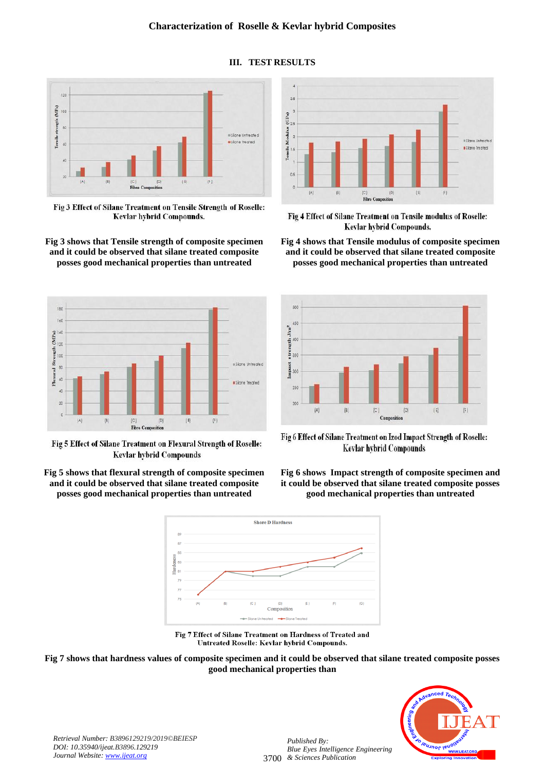

Fig 3 Effect of Silane Treatment on Tensile Strength of Roselle: Kevlar hybrid Compounds.

#### **Fig 3 shows that Tensile strength of composite specimen and it could be observed that silane treated composite posses good mechanical properties than untreated**



Fig 5 Effect of Silane Treatment on Flexural Strength of Roselle: **Kevlar hybrid Compounds** 







**Fig 4 shows that Tensile modulus of composite specimen and it could be observed that silane treated composite posses good mechanical properties than untreated**



Fig 6 Effect of Silane Treatment on Izod Impact Strength of Roselle: Kevlar hybrid Compounds

**Fig 6 shows Impact strength of composite specimen and it could be observed that silane treated composite posses good mechanical properties than untreated**



Fig 7 Effect of Silane Treatment on Hardness of Treated and Untreated Roselle: Kevlar hybrid Compounds.





*Retrieval Number: B3896129219/2019©BEIESP DOI: 10.35940/ijeat.B3896.129219 Journal Website[: www.ijeat.org](http://www.ijeat.org/)*

3700 *& Sciences Publication Published By: Blue Eyes Intelligence Engineering* 

## **III. TEST RESULTS**